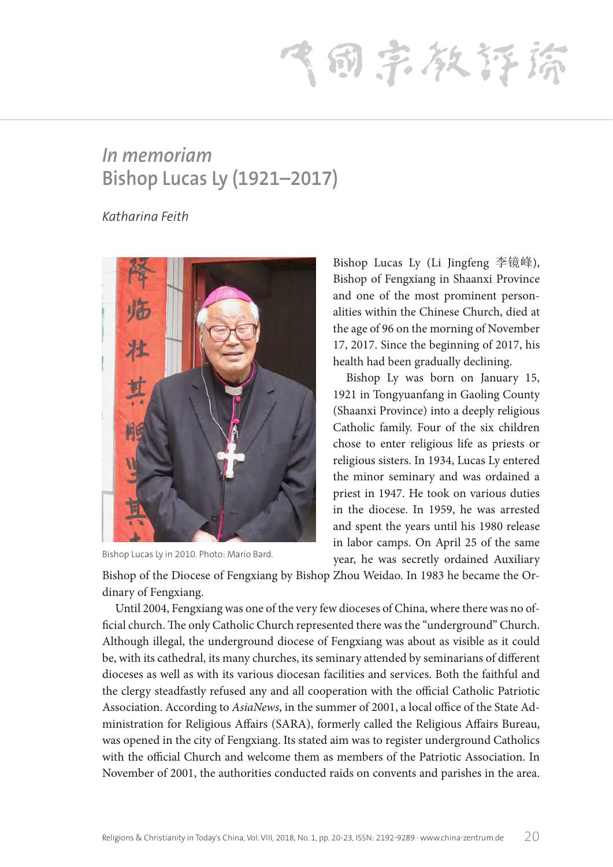(同宗教存締

## *In memoriam* **Bishop Lucas Ly (1921–2017)**

*Katharina Feith*



Bishop Lucas Ly in 2010. Photo: Mario Bard.

Bishop Lucas Ly (Li Jingfeng 李镜峰), Bishop of Fengxiang in Shaanxi Province and one of the most prominent personalities within the Chinese Church, died at the age of 96 on the morning of November 17, 2017. Since the beginning of 2017, his health had been gradually declining.

Bishop Ly was born on January 15, 1921 in Tongyuanfang in Gaoling County (Shaanxi Province) into a deeply religious Catholic family. Four of the six children chose to enter religious life as priests or religious sisters. In 1934, Lucas Ly entered the minor seminary and was ordained a priest in 1947. He took on various duties in the diocese. In 1959, he was arrested and spent the years until his 1980 release in labor camps. On April 25 of the same year, he was secretly ordained Auxiliary

Bishop of the Diocese of Fengxiang by Bishop Zhou Weidao. In 1983 he became the Ordinary of Fengxiang.

Until 2004, Fengxiang was one of the very few dioceses of China, where there was no official church. The only Catholic Church represented there was the "underground" Church. Although illegal, the underground diocese of Fengxiang was about as visible as it could be, with its cathedral, its many churches, its seminary attended by seminarians of different dioceses as well as with its various diocesan facilities and services. Both the faithful and the clergy steadfastly refused any and all cooperation with the official Catholic Patriotic Association. According to *AsiaNews*, in the summer of 2001, a local office of the State Administration for Religious Affairs (SARA), formerly called the Religious Affairs Bureau, was opened in the city of Fengxiang. Its stated aim was to register underground Catholics with the official Church and welcome them as members of the Patriotic Association. In November of 2001, the authorities conducted raids on convents and parishes in the area.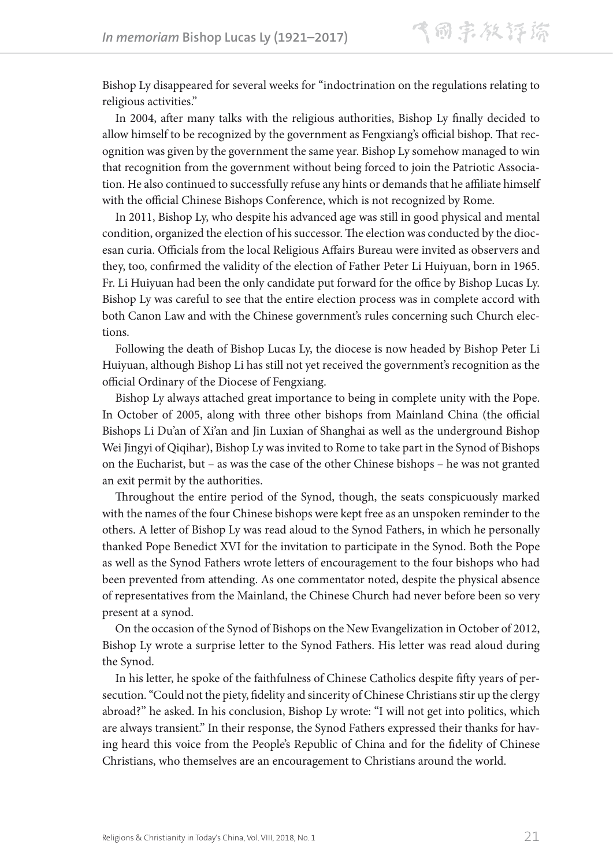Bishop Ly disappeared for several weeks for "indoctrination on the regulations relating to religious activities."

In 2004, after many talks with the religious authorities, Bishop Ly finally decided to allow himself to be recognized by the government as Fengxiang's official bishop. That recognition was given by the government the same year. Bishop Ly somehow managed to win that recognition from the government without being forced to join the Patriotic Association. He also continued to successfully refuse any hints or demands that he affiliate himself with the official Chinese Bishops Conference, which is not recognized by Rome.

In 2011, Bishop Ly, who despite his advanced age was still in good physical and mental condition, organized the election of his successor. The election was conducted by the diocesan curia. Officials from the local Religious Affairs Bureau were invited as observers and they, too, confirmed the validity of the election of Father Peter Li Huiyuan, born in 1965. Fr. Li Huiyuan had been the only candidate put forward for the office by Bishop Lucas Ly. Bishop Ly was careful to see that the entire election process was in complete accord with both Canon Law and with the Chinese government's rules concerning such Church elections.

Following the death of Bishop Lucas Ly, the diocese is now headed by Bishop Peter Li Huiyuan, although Bishop Li has still not yet received the government's recognition as the official Ordinary of the Diocese of Fengxiang.

Bishop Ly always attached great importance to being in complete unity with the Pope. In October of 2005, along with three other bishops from Mainland China (the official Bishops Li Du'an of Xi'an and Jin Luxian of Shanghai as well as the underground Bishop Wei Jingyi of Qiqihar), Bishop Ly was invited to Rome to take part in the Synod of Bishops on the Eucharist, but – as was the case of the other Chinese bishops – he was not granted an exit permit by the authorities.

Throughout the entire period of the Synod, though, the seats conspicuously marked with the names of the four Chinese bishops were kept free as an unspoken reminder to the others. A letter of Bishop Ly was read aloud to the Synod Fathers, in which he personally thanked Pope Benedict XVI for the invitation to participate in the Synod. Both the Pope as well as the Synod Fathers wrote letters of encouragement to the four bishops who had been prevented from attending. As one commentator noted, despite the physical absence of representatives from the Mainland, the Chinese Church had never before been so very present at a synod.

On the occasion of the Synod of Bishops on the New Evangelization in October of 2012, Bishop Ly wrote a surprise letter to the Synod Fathers. His letter was read aloud during the Synod.

In his letter, he spoke of the faithfulness of Chinese Catholics despite fifty years of persecution. "Could not the piety, fidelity and sincerity of Chinese Christians stir up the clergy abroad?" he asked. In his conclusion, Bishop Ly wrote: "I will not get into politics, which are always transient." In their response, the Synod Fathers expressed their thanks for having heard this voice from the People's Republic of China and for the fidelity of Chinese Christians, who themselves are an encouragement to Christians around the world.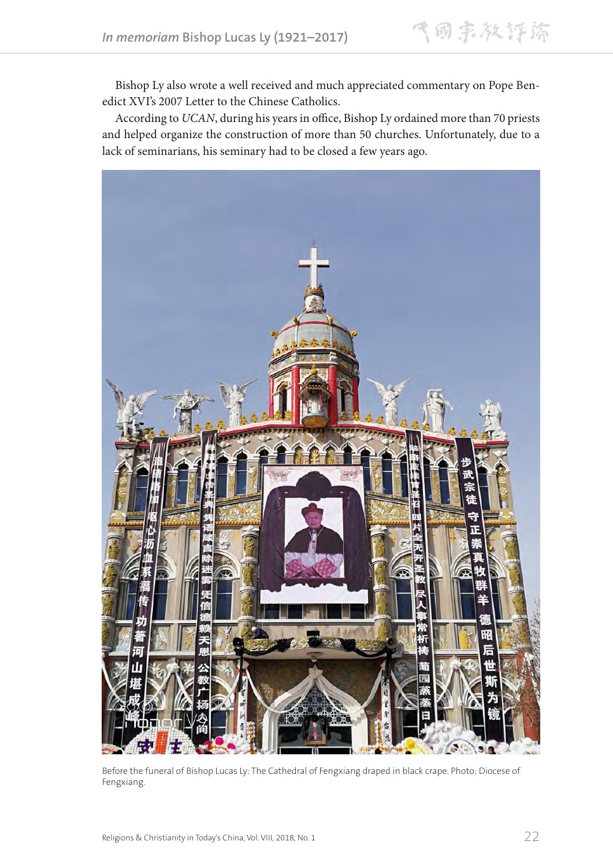Bishop Ly also wrote a well received and much appreciated commentary on Pope Benedict XVI's 2007 Letter to the Chinese Catholics.

According to *UCAN*, during his years in office, Bishop Ly ordained more than 70 priests and helped organize the construction of more than 50 churches. Unfortunately, due to a lack of seminarians, his seminary had to be closed a few years ago.



Before the funeral of Bishop Lucas Ly: The Cathedral of Fengxiang draped in black crape. Photo: Diocese of Fengxiang.